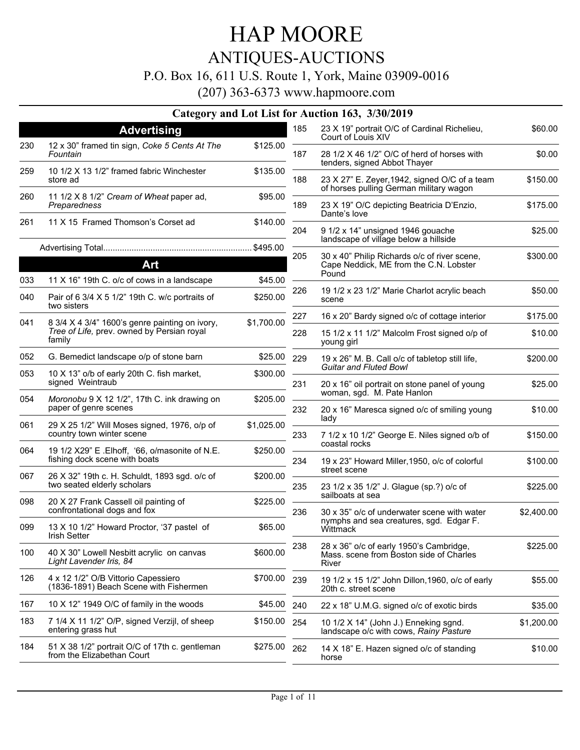### ANTIQUES-AUCTIONS

#### P.O. Box 16, 611 U.S. Route 1, York, Maine 03909-0016

(207) 363-6373 www.hapmoore.com

#### **Category and Lot List for Auction 163, 3/30/2019**

|            |                                                                                                        |                     | 185 | 23 X 19" portrait O/C of Cardinal Richelieu,                                                | \$60.00    |
|------------|--------------------------------------------------------------------------------------------------------|---------------------|-----|---------------------------------------------------------------------------------------------|------------|
|            | <b>Advertising</b>                                                                                     |                     |     | Court of Louis XIV                                                                          |            |
| 230        | 12 x 30" framed tin sign, Coke 5 Cents At The<br>Fountain                                              | \$125.00            | 187 | 28 1/2 X 46 1/2" O/C of herd of horses with<br>tenders, signed Abbot Thayer                 | \$0.00     |
| 259        | 10 1/2 X 13 1/2" framed fabric Winchester<br>store ad                                                  | \$135.00            | 188 | 23 X 27" E. Zeyer, 1942, signed O/C of a team<br>of horses pulling German military wagon    | \$150.00   |
| 260        | 11 1/2 X 8 1/2" Cream of Wheat paper ad,<br>Preparedness                                               | \$95.00             | 189 | 23 X 19" O/C depicting Beatricia D'Enzio,                                                   | \$175.00   |
| 261        | 11 X 15 Framed Thomson's Corset ad                                                                     | \$140.00            | 204 | Dante's love<br>9 1/2 x 14" unsigned 1946 gouache                                           | \$25.00    |
|            |                                                                                                        |                     |     | landscape of village below a hillside                                                       |            |
|            | Art                                                                                                    |                     | 205 | 30 x 40" Philip Richards o/c of river scene,<br>Cape Neddick, ME from the C.N. Lobster      | \$300.00   |
|            |                                                                                                        |                     |     | Pound                                                                                       |            |
| 033<br>040 | 11 X 16" 19th C. o/c of cows in a landscape<br>Pair of 6 3/4 X 5 1/2" 19th C. w/c portraits of         | \$45.00<br>\$250.00 | 226 | 19 1/2 x 23 1/2" Marie Charlot acrylic beach<br>scene                                       | \$50.00    |
|            | two sisters                                                                                            |                     | 227 | 16 x 20" Bardy signed o/c of cottage interior                                               | \$175.00   |
| 041        | 8 3/4 X 4 3/4" 1600's genre painting on ivory,<br>Tree of Life, prev. owned by Persian royal<br>family | \$1,700.00          | 228 | 15 1/2 x 11 1/2" Malcolm Frost signed o/p of<br>young girl                                  | \$10.00    |
| 052        | G. Bemedict landscape o/p of stone barn                                                                | \$25.00             | 229 | 19 x 26" M. B. Call o/c of tabletop still life,<br><b>Guitar and Fluted Bowl</b>            | \$200.00   |
| 053        | 10 X 13" o/b of early 20th C. fish market,<br>signed Weintraub                                         | \$300.00            | 231 | 20 x 16" oil portrait on stone panel of young                                               | \$25.00    |
| 054        | Moronobu 9 X 12 1/2", 17th C. ink drawing on<br>paper of genre scenes                                  | \$205.00            | 232 | woman, sgd. M. Pate Hanlon<br>20 x 16" Maresca signed o/c of smiling young                  | \$10.00    |
| 061        | 29 X 25 1/2" Will Moses signed, 1976, o/p of                                                           | \$1,025.00          |     | lady                                                                                        |            |
|            | country town winter scene                                                                              |                     | 233 | 7 1/2 x 10 1/2" George E. Niles signed o/b of<br>coastal rocks                              | \$150.00   |
| 064        | 19 1/2 X29" E . Elhoff, '66, o/masonite of N.E.<br>fishing dock scene with boats                       | \$250.00            | 234 | 19 x 23" Howard Miller, 1950, o/c of colorful                                               | \$100.00   |
| 067        | 26 X 32" 19th c. H. Schuldt, 1893 sgd. o/c of<br>two seated elderly scholars                           | \$200.00            | 235 | street scene<br>23 1/2 x 35 1/2" J. Glague (sp.?) o/c of                                    | \$225.00   |
| 098        | 20 X 27 Frank Cassell oil painting of<br>confrontational dogs and fox                                  | \$225.00            | 236 | sailboats at sea<br>30 x 35" o/c of underwater scene with water                             | \$2,400.00 |
| 099        | 13 X 10 1/2" Howard Proctor, '37 pastel of<br>Irish Setter                                             | \$65.00             |     | nymphs and sea creatures, sgd. Edgar F.<br>Wittmack                                         |            |
| 100        | 40 X 30" Lowell Nesbitt acrylic on canvas<br>Light Lavender Iris, 84                                   | \$600.00            | 238 | 28 x 36" o/c of early 1950's Cambridge,<br>Mass, scene from Boston side of Charles<br>River | \$225.00   |
| 126        | 4 x 12 1/2" O/B Vittorio Capessiero<br>(1836-1891) Beach Scene with Fishermen                          | \$700.00            | 239 | 19 1/2 x 15 1/2" John Dillon, 1960, o/c of early<br>20th c. street scene                    | \$55.00    |
| 167        | 10 X 12" 1949 O/C of family in the woods                                                               | \$45.00             | 240 | 22 x 18" U.M.G. signed o/c of exotic birds                                                  | \$35.00    |
| 183        | 7 1/4 X 11 1/2" O/P, signed Verzijl, of sheep<br>entering grass hut                                    | \$150.00            | 254 | 10 1/2 X 14" (John J.) Enneking sgnd.<br>landscape o/c with cows, Rainy Pasture             | \$1,200.00 |
| 184        | 51 X 38 1/2" portrait O/C of 17th c. gentleman<br>from the Elizabethan Court                           | \$275.00            | 262 | 14 X 18" E. Hazen signed o/c of standing<br>horse                                           | \$10.00    |
|            |                                                                                                        |                     |     |                                                                                             |            |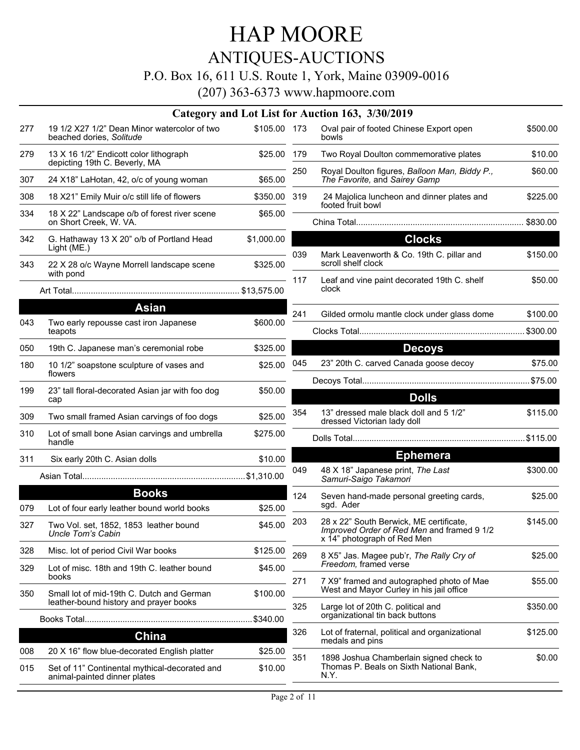## ANTIQUES-AUCTIONS

### P.O. Box 16, 611 U.S. Route 1, York, Maine 03909-0016

|            |                                                                                                            |                    |     | Category and Lot List for Auction 163, 3/30/2019                                           |          |
|------------|------------------------------------------------------------------------------------------------------------|--------------------|-----|--------------------------------------------------------------------------------------------|----------|
| 277        | 19 1/2 X27 1/2" Dean Minor watercolor of two<br>beached dories, Solitude                                   | \$105.00 173       |     | Oval pair of footed Chinese Export open<br>bowls                                           | \$500.00 |
| 279        | 13 X 16 1/2" Endicott color lithograph<br>depicting 19th C. Beverly, MA                                    | \$25.00            | 179 | Two Royal Doulton commemorative plates                                                     | \$10.00  |
| 307        | 24 X18" LaHotan, 42, o/c of young woman                                                                    | \$65.00            | 250 | Royal Doulton figures, Balloon Man, Biddy P.,<br>The Favorite, and Sairey Gamp             | \$60.00  |
| 308        | 18 X21" Emily Muir o/c still life of flowers                                                               | \$350.00 319       |     | 24 Majolica luncheon and dinner plates and<br>footed fruit bowl                            | \$225.00 |
| 334        | 18 X 22" Landscape o/b of forest river scene<br>on Short Creek, W. VA.                                     | \$65.00            |     |                                                                                            |          |
| 342        | G. Hathaway 13 X 20" o/b of Portland Head<br>Light (ME.)                                                   | \$1,000.00         |     | <b>Clocks</b>                                                                              |          |
| 343        | 22 X 28 o/c Wayne Morrell landscape scene<br>with pond                                                     | \$325.00           | 039 | Mark Leavenworth & Co. 19th C. pillar and<br>scroll shelf clock                            | \$150.00 |
|            |                                                                                                            |                    | 117 | Leaf and vine paint decorated 19th C. shelf<br>clock                                       | \$50.00  |
|            | <b>Asian</b>                                                                                               |                    | 241 | Gilded ormolu mantle clock under glass dome                                                | \$100.00 |
| 043        | Two early repousse cast iron Japanese<br>teapots                                                           | \$600.00           |     |                                                                                            |          |
| 050        | 19th C. Japanese man's ceremonial robe                                                                     | \$325.00           |     | <b>Decoys</b>                                                                              |          |
| 180        | 10 1/2" soapstone sculpture of vases and<br>flowers                                                        | \$25.00            | 045 | 23" 20th C. carved Canada goose decoy                                                      | \$75.00  |
| 199        | 23" tall floral-decorated Asian jar with foo dog                                                           | \$50.00            |     |                                                                                            |          |
|            | cap                                                                                                        |                    |     | <b>Dolls</b>                                                                               |          |
| 309        | Two small framed Asian carvings of foo dogs                                                                | \$25.00            | 354 | 13" dressed male black doll and 5 1/2"<br>dressed Victorian lady doll                      | \$115.00 |
| 310        | Lot of small bone Asian carvings and umbrella<br>handle                                                    | \$275.00           |     |                                                                                            |          |
| 311        | Six early 20th C. Asian dolls                                                                              | \$10.00            |     | <b>Ephemera</b>                                                                            |          |
|            |                                                                                                            |                    | 049 | 48 X 18" Japanese print, The Last<br>Samuri-Saigo Takamori                                 | \$300.00 |
|            | <b>Books</b>                                                                                               |                    | 124 | Seven hand-made personal greeting cards,<br>sgd. Ader                                      | \$25.00  |
| 079<br>327 | Lot of four early leather bound world books<br>Two Vol. set, 1852, 1853 leather bound<br>Uncle Tom's Cabin | \$25.00<br>\$45.00 | 203 | 28 x 22" South Berwick, ME certificate,<br>Improved Order of Red Men and framed 9 1/2      | \$145.00 |
| 328        | Misc. lot of period Civil War books                                                                        | \$125.00           |     | x 14" photograph of Red Men                                                                |          |
| 329        | Lot of misc. 18th and 19th C. leather bound<br>books                                                       | \$45.00            | 269 | 8 X5" Jas. Magee pub'r, The Rally Cry of<br>Freedom, framed verse                          | \$25.00  |
| 350        | Small lot of mid-19th C. Dutch and German<br>leather-bound history and prayer books                        | \$100.00           | 271 | 7 X9" framed and autographed photo of Mae<br>West and Mayor Curley in his jail office      | \$55.00  |
|            |                                                                                                            | \$340.00           | 325 | Large lot of 20th C. political and<br>organizational tin back buttons                      | \$350.00 |
|            | China                                                                                                      |                    | 326 | Lot of fraternal, political and organizational                                             | \$125.00 |
| 008        | 20 X 16" flow blue-decorated English platter                                                               | \$25.00            | 351 | medals and pins                                                                            |          |
| 015        | Set of 11" Continental mythical-decorated and<br>animal-painted dinner plates                              | \$10.00            |     | 1898 Joshua Chamberlain signed check to<br>Thomas P. Beals on Sixth National Bank,<br>N.Y. | \$0.00   |
|            |                                                                                                            |                    |     |                                                                                            |          |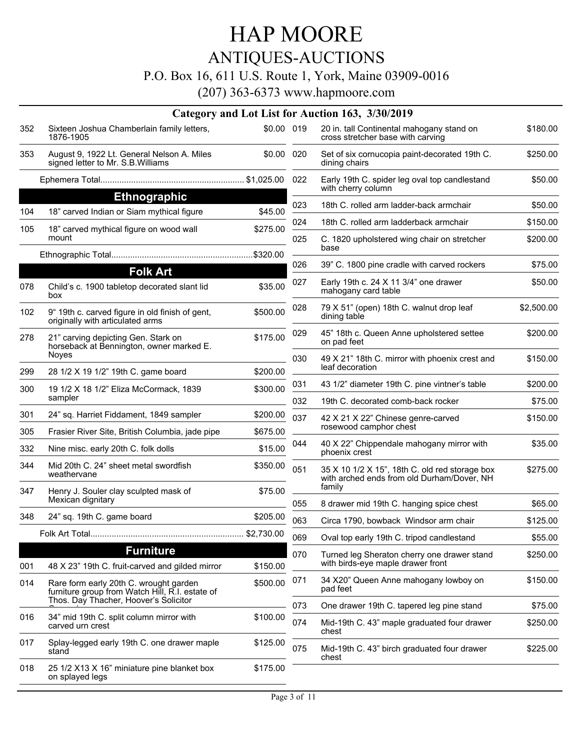## ANTIQUES-AUCTIONS

### P.O. Box 16, 611 U.S. Route 1, York, Maine 03909-0016

|     |                                                                                           |            |            | Category and Lot List for Auction 163, 3/30/2019                                             |                      |
|-----|-------------------------------------------------------------------------------------------|------------|------------|----------------------------------------------------------------------------------------------|----------------------|
| 352 | Sixteen Joshua Chamberlain family letters,<br>1876-1905                                   | \$0.00 019 |            | 20 in. tall Continental mahogany stand on<br>cross stretcher base with carving               | \$180.00             |
| 353 | August 9, 1922 Lt. General Nelson A. Miles<br>signed letter to Mr. S.B. Williams          | \$0.00 020 |            | Set of six cornucopia paint-decorated 19th C.<br>dining chairs                               | \$250.00             |
|     |                                                                                           |            | 022        | Early 19th C. spider leg oval top candlestand<br>with cherry column                          | \$50.00              |
|     | <b>Ethnographic</b>                                                                       |            | 023        | 18th C. rolled arm ladder-back armchair                                                      | \$50.00              |
| 104 | 18" carved Indian or Siam mythical figure                                                 | \$45.00    |            |                                                                                              |                      |
| 105 | 18" carved mythical figure on wood wall<br>mount                                          | \$275.00   | 024<br>025 | 18th C. rolled arm ladderback armchair<br>C. 1820 upholstered wing chair on stretcher        | \$150.00<br>\$200.00 |
|     |                                                                                           |            |            | base                                                                                         |                      |
|     | <b>Folk Art</b>                                                                           |            | 026        | 39" C. 1800 pine cradle with carved rockers                                                  | \$75.00              |
| 078 | Child's c. 1900 tabletop decorated slant lid<br>box                                       | \$35.00    | 027        | Early 19th c. 24 X 11 3/4" one drawer<br>mahogany card table                                 | \$50.00              |
| 102 | 9" 19th c. carved figure in old finish of gent,<br>originally with articulated arms       | \$500.00   | 028        | 79 X 51" (open) 18th C. walnut drop leaf<br>dining table                                     | \$2,500.00           |
| 278 | 21" carving depicting Gen. Stark on<br>horseback at Bennington, owner marked E.           | \$175.00   | 029        | 45" 18th c. Queen Anne upholstered settee<br>on pad feet                                     | \$200.00             |
| 299 | Noyes<br>28 1/2 X 19 1/2" 19th C. game board                                              | \$200.00   | 030        | 49 X 21" 18th C. mirror with phoenix crest and<br>leaf decoration                            | \$150.00             |
| 300 | 19 1/2 X 18 1/2" Eliza McCormack, 1839                                                    | \$300.00   | 031        | 43 1/2" diameter 19th C. pine vintner's table                                                | \$200.00             |
|     | sampler                                                                                   |            | 032        | 19th C. decorated comb-back rocker                                                           | \$75.00              |
| 301 | 24" sq. Harriet Fiddament, 1849 sampler                                                   | \$200.00   | 037        |                                                                                              | \$150.00             |
| 305 | Frasier River Site, British Columbia, jade pipe                                           | \$675.00   |            | 42 X 21 X 22" Chinese genre-carved<br>rosewood camphor chest                                 |                      |
| 332 | Nine misc. early 20th C. folk dolls                                                       | \$15.00    | 044        | 40 X 22" Chippendale mahogany mirror with<br>phoenix crest                                   | \$35.00              |
| 344 | Mid 20th C. 24" sheet metal swordfish<br>weathervane                                      | \$350.00   | 051        | 35 X 10 1/2 X 15", 18th C. old red storage box<br>with arched ends from old Durham/Dover, NH | \$275.00             |
| 347 | Henry J. Souler clay sculpted mask of                                                     | \$75.00    |            | family                                                                                       |                      |
|     | Mexican dignitary                                                                         |            | 055        | 8 drawer mid 19th C. hanging spice chest                                                     | \$65.00              |
| 348 | 24" sq. 19th C. game board                                                                | \$205.00   | 063        | Circa 1790, bowback Windsor arm chair                                                        | \$125.00             |
|     |                                                                                           | \$2,730.00 | 069        | Oval top early 19th C. tripod candlestand                                                    | \$55.00              |
|     | <b>Furniture</b>                                                                          |            | 070        | Turned leg Sheraton cherry one drawer stand                                                  | \$250.00             |
| 001 | 48 X 23" 19th C. fruit-carved and gilded mirror                                           | \$150.00   |            | with birds-eye maple drawer front                                                            |                      |
| 014 | Rare form early 20th C. wrought garden<br>furniture group from Watch Hill, R.I. estate of | \$500.00   | 071        | 34 X20" Queen Anne mahogany lowboy on<br>pad feet                                            | \$150.00             |
|     | Thos. Day Thacher, Hoover's Solicitor                                                     |            | 073        | One drawer 19th C. tapered leg pine stand                                                    | \$75.00              |
| 016 | 34" mid 19th C. split column mirror with<br>carved urn crest                              | \$100.00   | 074        | Mid-19th C. 43" maple graduated four drawer<br>chest                                         | \$250.00             |
| 017 | Splay-legged early 19th C. one drawer maple<br>stand                                      | \$125.00   | 075        | Mid-19th C. 43" birch graduated four drawer<br>chest                                         | \$225.00             |
| 018 | 25 1/2 X13 X 16" miniature pine blanket box<br>on splayed legs                            | \$175.00   |            |                                                                                              |                      |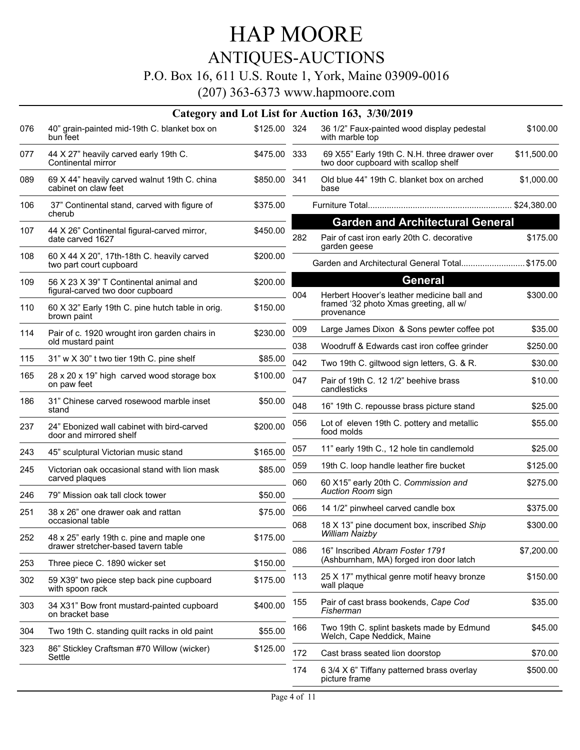## ANTIQUES-AUCTIONS

#### P.O. Box 16, 611 U.S. Route 1, York, Maine 03909-0016

|     |                                                                            |              |     | Category and Lot List for Auction 163, 3/30/2019                                                   |             |
|-----|----------------------------------------------------------------------------|--------------|-----|----------------------------------------------------------------------------------------------------|-------------|
| 076 | 40" grain-painted mid-19th C. blanket box on<br>bun feet                   | \$125.00 324 |     | 36 1/2" Faux-painted wood display pedestal<br>with marble top                                      | \$100.00    |
| 077 | 44 X 27" heavily carved early 19th C.<br>Continental mirror                | \$475.00 333 |     | 69 X55" Early 19th C. N.H. three drawer over<br>two door cupboard with scallop shelf               | \$11,500.00 |
| 089 | 69 X 44" heavily carved walnut 19th C. china<br>cabinet on claw feet       | \$850.00 341 |     | Old blue 44" 19th C. blanket box on arched<br>base                                                 | \$1,000.00  |
| 106 | 37" Continental stand, carved with figure of<br>cherub                     | \$375.00     |     |                                                                                                    |             |
| 107 | 44 X 26" Continental figural-carved mirror,<br>date carved 1627            | \$450.00     | 282 | <b>Garden and Architectural General</b><br>Pair of cast iron early 20th C. decorative              | \$175.00    |
| 108 | 60 X 44 X 20", 17th-18th C. heavily carved<br>two part court cupboard      | \$200.00     |     | garden geese<br>Garden and Architectural General Total\$175.00                                     |             |
| 109 | 56 X 23 X 39" T Continental animal and<br>figural-carved two door cupboard | \$200.00     |     | <b>General</b>                                                                                     |             |
| 110 | 60 X 32" Early 19th C. pine hutch table in orig.<br>brown paint            | \$150.00     | 004 | Herbert Hoover's leather medicine ball and<br>framed '32 photo Xmas greeting, all w/<br>provenance | \$300.00    |
| 114 | Pair of c. 1920 wrought iron garden chairs in<br>old mustard paint         | \$230.00     | 009 | Large James Dixon & Sons pewter coffee pot                                                         | \$35.00     |
|     |                                                                            |              | 038 | Woodruff & Edwards cast iron coffee grinder                                                        | \$250.00    |
| 115 | 31" w X 30" t two tier 19th C. pine shelf                                  | \$85.00      | 042 | Two 19th C. giltwood sign letters, G. & R.                                                         | \$30.00     |
| 165 | 28 x 20 x 19" high carved wood storage box<br>on paw feet                  | \$100.00     | 047 | Pair of 19th C. 12 1/2" beehive brass<br>candlesticks                                              | \$10.00     |
| 186 | 31" Chinese carved rosewood marble inset<br>stand                          | \$50.00      | 048 | 16" 19th C. repousse brass picture stand                                                           | \$25.00     |
| 237 | 24" Ebonized wall cabinet with bird-carved<br>door and mirrored shelf      | \$200.00     | 056 | Lot of eleven 19th C. pottery and metallic<br>food molds                                           | \$55.00     |
| 243 | 45" sculptural Victorian music stand                                       | \$165.00     | 057 | 11" early 19th C., 12 hole tin candlemold                                                          | \$25.00     |
| 245 | Victorian oak occasional stand with lion mask<br>carved plaques            | \$85.00      | 059 | 19th C. loop handle leather fire bucket                                                            | \$125.00    |
| 246 | 79" Mission oak tall clock tower                                           | \$50.00      | 060 | 60 X15" early 20th C. Commission and<br>Auction Room sign                                          | \$275.00    |
| 251 | 38 x 26" one drawer oak and rattan                                         | \$75.00      | 066 | 14 1/2" pinwheel carved candle box                                                                 | \$375.00    |
| 252 | occasional table<br>48 x 25" early 19th c. pine and maple one              | \$175.00     | 068 | 18 X 13" pine document box, inscribed Ship<br>William Naizby                                       | \$300.00    |
|     | drawer stretcher-based tavern table                                        | \$150.00     | 086 | 16" Inscribed Abram Foster 1791<br>(Ashburnham, MA) forged iron door latch                         | \$7,200.00  |
| 253 | Three piece C. 1890 wicker set                                             |              | 113 | 25 X 17" mythical genre motif heavy bronze                                                         | \$150.00    |
| 302 | 59 X39" two piece step back pine cupboard<br>with spoon rack               | \$175.00     |     | wall plaque                                                                                        |             |
| 303 | 34 X31" Bow front mustard-painted cupboard<br>on bracket base              | \$400.00     | 155 | Pair of cast brass bookends, Cape Cod<br>Fisherman                                                 | \$35.00     |
| 304 | Two 19th C. standing quilt racks in old paint                              | \$55.00      | 166 | Two 19th C. splint baskets made by Edmund<br>Welch, Cape Neddick, Maine                            | \$45.00     |
| 323 | 86" Stickley Craftsman #70 Willow (wicker)<br>Settle                       | \$125.00     | 172 | Cast brass seated lion doorstop                                                                    | \$70.00     |
|     |                                                                            |              | 174 | 6 3/4 X 6" Tiffany patterned brass overlay<br>picture frame                                        | \$500.00    |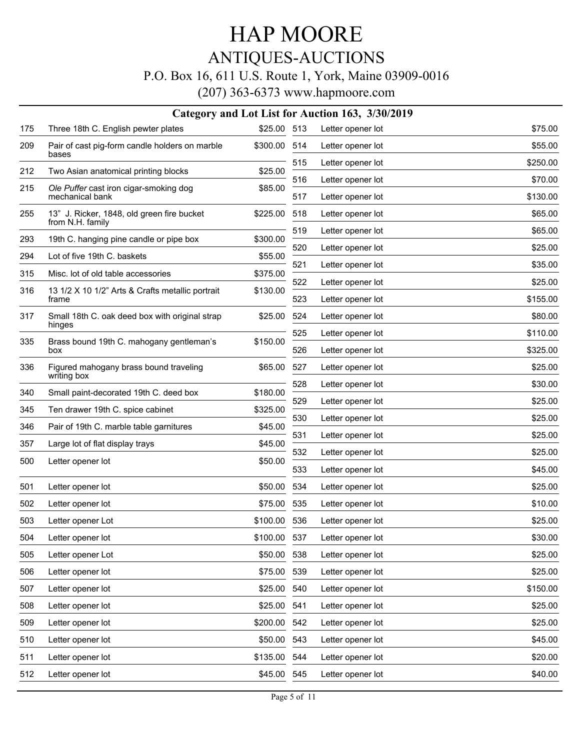## ANTIQUES-AUCTIONS

### P.O. Box 16, 611 U.S. Route 1, York, Maine 03909-0016

|     | Category and Lot List for Auction 163, 3/30/2019               |             |     |                   |          |  |  |
|-----|----------------------------------------------------------------|-------------|-----|-------------------|----------|--|--|
| 175 | Three 18th C. English pewter plates                            | \$25.00 513 |     | Letter opener lot | \$75.00  |  |  |
| 209 | Pair of cast pig-form candle holders on marble<br>bases        | \$300.00    | 514 | Letter opener lot | \$55.00  |  |  |
| 212 | Two Asian anatomical printing blocks                           | \$25.00     | 515 | Letter opener lot | \$250.00 |  |  |
| 215 | Ole Puffer cast iron cigar-smoking dog                         | \$85.00     | 516 | Letter opener lot | \$70.00  |  |  |
|     | mechanical bank                                                |             | 517 | Letter opener lot | \$130.00 |  |  |
| 255 | 13" J. Ricker, 1848, old green fire bucket<br>from N.H. family | \$225.00    | 518 | Letter opener lot | \$65.00  |  |  |
| 293 | 19th C. hanging pine candle or pipe box                        | \$300.00    | 519 | Letter opener lot | \$65.00  |  |  |
| 294 | Lot of five 19th C. baskets                                    | \$55.00     | 520 | Letter opener lot | \$25.00  |  |  |
| 315 | Misc. lot of old table accessories                             | \$375.00    | 521 | Letter opener lot | \$35.00  |  |  |
| 316 | 13 1/2 X 10 1/2" Arts & Crafts metallic portrait               | \$130.00    | 522 | Letter opener lot | \$25.00  |  |  |
|     | frame                                                          |             | 523 | Letter opener lot | \$155.00 |  |  |
| 317 | Small 18th C. oak deed box with original strap<br>hinges       | \$25.00     | 524 | Letter opener lot | \$80.00  |  |  |
| 335 | Brass bound 19th C. mahogany gentleman's                       | \$150.00    | 525 | Letter opener lot | \$110.00 |  |  |
|     | box                                                            |             | 526 | Letter opener lot | \$325.00 |  |  |
| 336 | Figured mahogany brass bound traveling<br>writing box          | \$65.00     | 527 | Letter opener lot | \$25.00  |  |  |
| 340 | Small paint-decorated 19th C. deed box                         | \$180.00    | 528 | Letter opener lot | \$30.00  |  |  |
| 345 | Ten drawer 19th C. spice cabinet                               | \$325.00    | 529 | Letter opener lot | \$25.00  |  |  |
| 346 | Pair of 19th C. marble table garnitures                        | \$45.00     | 530 | Letter opener lot | \$25.00  |  |  |
|     |                                                                | \$45.00     | 531 | Letter opener lot | \$25.00  |  |  |
| 357 | Large lot of flat display trays                                |             | 532 | Letter opener lot | \$25.00  |  |  |
| 500 | Letter opener lot                                              | \$50.00     | 533 | Letter opener lot | \$45.00  |  |  |
| 501 | Letter opener lot                                              | \$50.00     | 534 | Letter opener lot | \$25.00  |  |  |
| 502 | Letter opener lot                                              | \$75.00     | 535 | Letter opener lot | \$10.00  |  |  |
| 503 | Letter opener Lot                                              | \$100.00    | 536 | Letter opener lot | \$25.00  |  |  |
| 504 | Letter opener lot                                              | \$100.00    | 537 | Letter opener lot | \$30.00  |  |  |
| 505 | Letter opener Lot                                              | \$50.00     | 538 | Letter opener lot | \$25.00  |  |  |
| 506 | Letter opener lot                                              | \$75.00     | 539 | Letter opener lot | \$25.00  |  |  |
| 507 | Letter opener lot                                              | \$25.00     | 540 | Letter opener lot | \$150.00 |  |  |
| 508 | Letter opener lot                                              | \$25.00     | 541 | Letter opener lot | \$25.00  |  |  |
| 509 | Letter opener lot                                              | \$200.00    | 542 | Letter opener lot | \$25.00  |  |  |
| 510 | Letter opener lot                                              | \$50.00     | 543 | Letter opener lot | \$45.00  |  |  |
| 511 | Letter opener lot                                              | \$135.00    | 544 | Letter opener lot | \$20.00  |  |  |
| 512 | Letter opener lot                                              | \$45.00 545 |     | Letter opener lot | \$40.00  |  |  |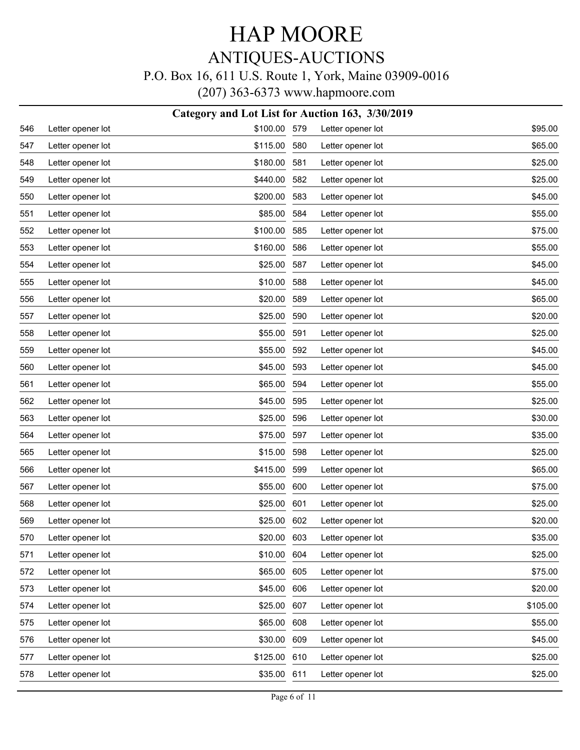## HAP MOORE ANTIQUES-AUCTIONS

### P.O. Box 16, 611 U.S. Route 1, York, Maine 03909-0016

|     | Category and Lot List for Auction 163, 3/30/2019 |          |     |                   |          |  |  |
|-----|--------------------------------------------------|----------|-----|-------------------|----------|--|--|
| 546 | Letter opener lot                                | \$100.00 | 579 | Letter opener lot | \$95.00  |  |  |
| 547 | Letter opener lot                                | \$115.00 | 580 | Letter opener lot | \$65.00  |  |  |
| 548 | Letter opener lot                                | \$180.00 | 581 | Letter opener lot | \$25.00  |  |  |
| 549 | Letter opener lot                                | \$440.00 | 582 | Letter opener lot | \$25.00  |  |  |
| 550 | Letter opener lot                                | \$200.00 | 583 | Letter opener lot | \$45.00  |  |  |
| 551 | Letter opener lot                                | \$85.00  | 584 | Letter opener lot | \$55.00  |  |  |
| 552 | Letter opener lot                                | \$100.00 | 585 | Letter opener lot | \$75.00  |  |  |
| 553 | Letter opener lot                                | \$160.00 | 586 | Letter opener lot | \$55.00  |  |  |
| 554 | Letter opener lot                                | \$25.00  | 587 | Letter opener lot | \$45.00  |  |  |
| 555 | Letter opener lot                                | \$10.00  | 588 | Letter opener lot | \$45.00  |  |  |
| 556 | Letter opener lot                                | \$20.00  | 589 | Letter opener lot | \$65.00  |  |  |
| 557 | Letter opener lot                                | \$25.00  | 590 | Letter opener lot | \$20.00  |  |  |
| 558 | Letter opener lot                                | \$55.00  | 591 | Letter opener lot | \$25.00  |  |  |
| 559 | Letter opener lot                                | \$55.00  | 592 | Letter opener lot | \$45.00  |  |  |
| 560 | Letter opener lot                                | \$45.00  | 593 | Letter opener lot | \$45.00  |  |  |
| 561 | Letter opener lot                                | \$65.00  | 594 | Letter opener lot | \$55.00  |  |  |
| 562 | Letter opener lot                                | \$45.00  | 595 | Letter opener lot | \$25.00  |  |  |
| 563 | Letter opener lot                                | \$25.00  | 596 | Letter opener lot | \$30.00  |  |  |
| 564 | Letter opener lot                                | \$75.00  | 597 | Letter opener lot | \$35.00  |  |  |
| 565 | Letter opener lot                                | \$15.00  | 598 | Letter opener lot | \$25.00  |  |  |
| 566 | Letter opener lot                                | \$415.00 | 599 | Letter opener lot | \$65.00  |  |  |
| 567 | Letter opener lot                                | \$55.00  | 600 | Letter opener lot | \$75.00  |  |  |
| 568 | Letter opener lot                                | \$25.00  | 601 | Letter opener lot | \$25.00  |  |  |
| 569 | Letter opener lot                                | \$25.00  | 602 | Letter opener lot | \$20.00  |  |  |
| 570 | Letter opener lot                                | \$20.00  | 603 | Letter opener lot | \$35.00  |  |  |
| 571 | Letter opener lot                                | \$10.00  | 604 | Letter opener lot | \$25.00  |  |  |
| 572 | Letter opener lot                                | \$65.00  | 605 | Letter opener lot | \$75.00  |  |  |
| 573 | Letter opener lot                                | \$45.00  | 606 | Letter opener lot | \$20.00  |  |  |
| 574 | Letter opener lot                                | \$25.00  | 607 | Letter opener lot | \$105.00 |  |  |
| 575 | Letter opener lot                                | \$65.00  | 608 | Letter opener lot | \$55.00  |  |  |
| 576 | Letter opener lot                                | \$30.00  | 609 | Letter opener lot | \$45.00  |  |  |
| 577 | Letter opener lot                                | \$125.00 | 610 | Letter opener lot | \$25.00  |  |  |
| 578 | Letter opener lot                                | \$35.00  | 611 | Letter opener lot | \$25.00  |  |  |
|     |                                                  |          |     |                   |          |  |  |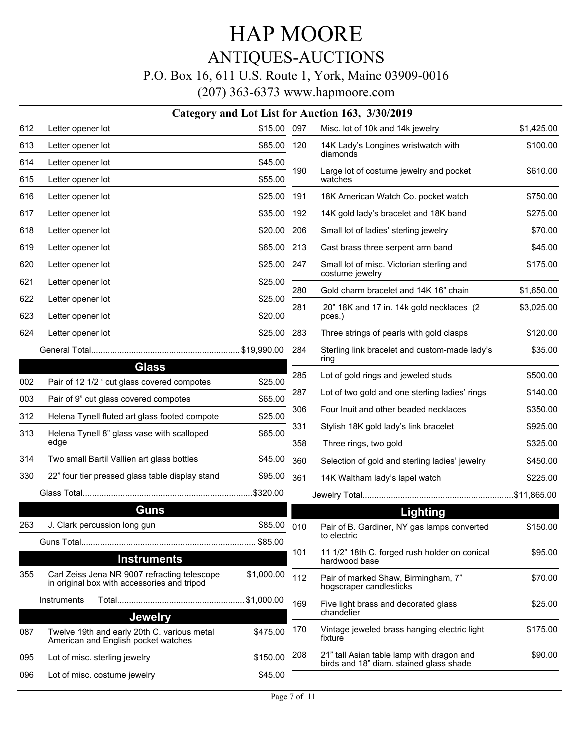# HAP MOORE ANTIQUES-AUCTIONS

### P.O. Box 16, 611 U.S. Route 1, York, Maine 03909-0016

|     |                                                                                             |             |     | Category and Lot List for Auction 163, 3/30/2019                                     |            |
|-----|---------------------------------------------------------------------------------------------|-------------|-----|--------------------------------------------------------------------------------------|------------|
| 612 | Letter opener lot                                                                           | \$15.00 097 |     | Misc. lot of 10k and 14k jewelry                                                     | \$1,425.00 |
| 613 | Letter opener lot                                                                           | \$85.00     | 120 | 14K Lady's Longines wristwatch with                                                  | \$100.00   |
| 614 | Letter opener lot                                                                           | \$45.00     |     | diamonds                                                                             |            |
| 615 | Letter opener lot                                                                           | \$55.00     | 190 | Large lot of costume jewelry and pocket<br>watches                                   | \$610.00   |
| 616 | Letter opener lot                                                                           | \$25.00     | 191 | 18K American Watch Co. pocket watch                                                  | \$750.00   |
| 617 | Letter opener lot                                                                           | \$35.00     | 192 | 14K gold lady's bracelet and 18K band                                                | \$275.00   |
| 618 | Letter opener lot                                                                           | \$20.00     | 206 | Small lot of ladies' sterling jewelry                                                | \$70.00    |
| 619 | Letter opener lot                                                                           | \$65.00     | 213 | Cast brass three serpent arm band                                                    | \$45.00    |
| 620 | Letter opener lot                                                                           | \$25.00 247 |     | Small lot of misc. Victorian sterling and                                            | \$175.00   |
| 621 | Letter opener lot                                                                           | \$25.00     | 280 | costume jewelry<br>Gold charm bracelet and 14K 16" chain                             | \$1,650.00 |
| 622 | Letter opener lot                                                                           | \$25.00     |     |                                                                                      |            |
| 623 | Letter opener lot                                                                           | \$20.00     | 281 | 20" 18K and 17 in. 14k gold necklaces (2)<br>pces.)                                  | \$3,025.00 |
| 624 | Letter opener lot                                                                           | \$25.00     | 283 | Three strings of pearls with gold clasps                                             | \$120.00   |
|     |                                                                                             |             | 284 | Sterling link bracelet and custom-made lady's                                        | \$35.00    |
|     | <b>Glass</b>                                                                                |             |     | ring                                                                                 |            |
| 002 | Pair of 12 1/2 ' cut glass covered compotes                                                 | \$25.00     | 285 | Lot of gold rings and jeweled studs                                                  | \$500.00   |
| 003 | Pair of 9" cut glass covered compotes                                                       | \$65.00     | 287 | Lot of two gold and one sterling ladies' rings                                       | \$140.00   |
| 312 | Helena Tynell fluted art glass footed compote                                               | \$25.00     | 306 | Four Inuit and other beaded necklaces                                                | \$350.00   |
| 313 | Helena Tynell 8" glass vase with scalloped<br>edge                                          | \$65.00     | 331 | Stylish 18K gold lady's link bracelet                                                | \$925.00   |
| 314 |                                                                                             |             | 358 | Three rings, two gold                                                                | \$325.00   |
|     | Two small Bartil Vallien art glass bottles                                                  | \$45.00     | 360 | Selection of gold and sterling ladies' jewelry                                       | \$450.00   |
| 330 | 22" four tier pressed glass table display stand                                             | \$95.00     | 361 | 14K Waltham lady's lapel watch                                                       | \$225.00   |
|     |                                                                                             |             |     |                                                                                      |            |
|     | Guns                                                                                        |             |     | <b>Lighting</b>                                                                      |            |
| 263 | J. Clark percussion long gun                                                                | \$85.00     | 010 | Pair of B. Gardiner, NY gas lamps converted<br>to electric                           | \$150.00   |
|     |                                                                                             | \$85.00     | 101 | 11 1/2" 18th C. forged rush holder on conical                                        | \$95.00    |
|     | <b>Instruments</b>                                                                          |             |     | hardwood base                                                                        |            |
| 355 | Carl Zeiss Jena NR 9007 refracting telescope<br>in original box with accessories and tripod | \$1,000.00  | 112 | Pair of marked Shaw, Birmingham, 7"<br>hogscraper candlesticks                       | \$70.00    |
|     | Instruments                                                                                 | \$1,000.00  | 169 | Five light brass and decorated glass                                                 | \$25.00    |
|     | <b>Jewelry</b>                                                                              |             |     | chandelier                                                                           |            |
| 087 | Twelve 19th and early 20th C. various metal<br>American and English pocket watches          | \$475.00    | 170 | Vintage jeweled brass hanging electric light<br>fixture                              | \$175.00   |
| 095 | Lot of misc. sterling jewelry                                                               | \$150.00    | 208 | 21" tall Asian table lamp with dragon and<br>birds and 18" diam. stained glass shade | \$90.00    |
| 096 | Lot of misc. costume jewelry                                                                | \$45.00     |     |                                                                                      |            |
|     |                                                                                             |             |     |                                                                                      |            |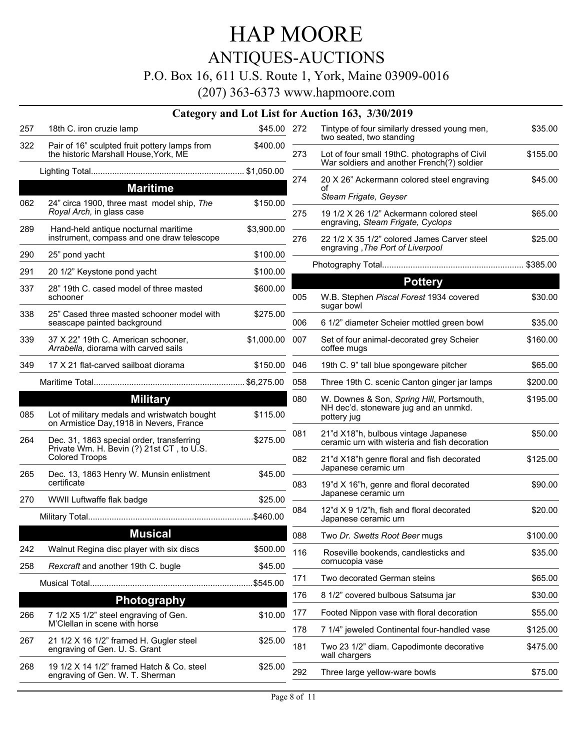### ANTIQUES-AUCTIONS

#### P.O. Box 16, 611 U.S. Route 1, York, Maine 03909-0016

|     |                                                                                          |              |     | Category and Lot List for Auction 163, 3/30/2019                                            |          |
|-----|------------------------------------------------------------------------------------------|--------------|-----|---------------------------------------------------------------------------------------------|----------|
| 257 | 18th C. iron cruzie lamp                                                                 | \$45.00 272  |     | Tintype of four similarly dressed young men,<br>two seated, two standing                    | \$35.00  |
| 322 | Pair of 16" sculpted fruit pottery lamps from<br>the historic Marshall House, York, ME   | \$400.00     | 273 | Lot of four small 19thC. photographs of Civil<br>War soldiers and another French(?) soldier | \$155.00 |
|     |                                                                                          |              |     |                                                                                             |          |
|     | <b>Maritime</b>                                                                          |              | 274 | 20 X 26" Ackermann colored steel engraving<br>οf                                            | \$45.00  |
| 062 | 24" circa 1900, three mast model ship, The                                               | \$150.00     |     | Steam Frigate, Geyser                                                                       |          |
|     | Royal Arch, in glass case                                                                |              | 275 | 19 1/2 X 26 1/2" Ackermann colored steel<br>engraving, Steam Frigate, Cyclops               | \$65.00  |
| 289 | Hand-held antique nocturnal maritime<br>instrument, compass and one draw telescope       | \$3,900.00   | 276 | 22 1/2 X 35 1/2" colored James Carver steel                                                 | \$25.00  |
| 290 | 25" pond yacht                                                                           | \$100.00     |     | engraving, The Port of Liverpool                                                            |          |
| 291 | 20 1/2" Keystone pond yacht                                                              | \$100.00     |     |                                                                                             |          |
| 337 | 28" 19th C. cased model of three masted                                                  | \$600.00     |     | <b>Pottery</b>                                                                              |          |
|     | schooner                                                                                 |              | 005 | W.B. Stephen Piscal Forest 1934 covered<br>sugar bowl                                       | \$30.00  |
| 338 | 25" Cased three masted schooner model with<br>seascape painted background                | \$275.00     | 006 | 6 1/2" diameter Scheier mottled green bowl                                                  | \$35.00  |
| 339 | 37 X 22" 19th C. American schooner,<br>Arrabella, diorama with carved sails              | \$1,000.00   | 007 | Set of four animal-decorated grey Scheier<br>coffee mugs                                    | \$160.00 |
| 349 | 17 X 21 flat-carved sailboat diorama                                                     | \$150.00 046 |     | 19th C. 9" tall blue spongeware pitcher                                                     | \$65.00  |
|     |                                                                                          |              | 058 | Three 19th C. scenic Canton ginger jar lamps                                                | \$200.00 |
|     | <b>Military</b>                                                                          |              | 080 | W. Downes & Son, Spring Hill, Portsmouth,                                                   | \$195.00 |
| 085 | Lot of military medals and wristwatch bought<br>on Armistice Day, 1918 in Nevers, France | \$115.00     |     | NH dec'd. stoneware jug and an unmkd.<br>pottery jug                                        |          |
| 264 | Dec. 31, 1863 special order, transferring<br>Private Wm. H. Bevin (?) 21st CT, to U.S.   | \$275.00     | 081 | 21"d X18"h, bulbous vintage Japanese<br>ceramic urn with wisteria and fish decoration       | \$50.00  |
|     | <b>Colored Troops</b>                                                                    |              | 082 | 21"d X18"h genre floral and fish decorated                                                  | \$125.00 |
| 265 | Dec. 13, 1863 Henry W. Munsin enlistment                                                 | \$45.00      |     | Japanese ceramic urn                                                                        |          |
|     | certificate                                                                              |              | 083 | 19"d X 16"h, genre and floral decorated<br>Japanese ceramic urn                             | \$90.00  |
| 270 | WWII Luftwaffe flak badge                                                                | \$25.00      | 084 | 12"d X 9 1/2"h, fish and floral decorated                                                   | \$20.00  |
|     |                                                                                          |              |     | Japanese ceramic urn                                                                        |          |
|     | <u>Musical</u>                                                                           |              | 088 | Two Dr. Swetts Root Beer mugs                                                               | \$100.00 |
| 242 | Walnut Regina disc player with six discs                                                 | \$500.00     | 116 | Roseville bookends, candlesticks and                                                        | \$35.00  |
| 258 | Rexcraft and another 19th C. bugle                                                       | \$45.00      |     | cornucopia vase                                                                             |          |
|     |                                                                                          | \$545.00     | 171 | Two decorated German steins                                                                 | \$65.00  |
|     | <b>Photography</b>                                                                       |              | 176 | 8 1/2" covered bulbous Satsuma jar                                                          | \$30.00  |
| 266 | 7 1/2 X5 1/2" steel engraving of Gen.                                                    | \$10.00      | 177 | Footed Nippon vase with floral decoration                                                   | \$55.00  |
|     | M'Clellan in scene with horse                                                            |              | 178 | 7 1/4" jeweled Continental four-handled vase                                                | \$125.00 |
| 267 | 21 1/2 X 16 1/2" framed H. Gugler steel<br>engraving of Gen. U. S. Grant                 | \$25.00      | 181 | Two 23 1/2" diam. Capodimonte decorative<br>wall chargers                                   | \$475.00 |
| 268 | 19 1/2 X 14 1/2" framed Hatch & Co. steel<br>engraving of Gen. W. T. Sherman             | \$25.00      | 292 | Three large yellow-ware bowls                                                               | \$75.00  |
|     |                                                                                          |              |     |                                                                                             |          |

| 272 | Tintype of four similarly dressed young men,<br>two seated, two standing                          | \$35.00  |
|-----|---------------------------------------------------------------------------------------------------|----------|
| 273 | Lot of four small 19thC. photographs of Civil<br>War soldiers and another French(?) soldier       | \$155.00 |
| 274 | 20 X 26" Ackermann colored steel engraving<br>of<br>Steam Frigate, Geyser                         | \$45.00  |
| 275 | 19 1/2 X 26 1/2" Ackermann colored steel<br>engraving, Steam Frigate, Cyclops                     | \$65.00  |
| 276 | 22 1/2 X 35 1/2" colored James Carver steel<br>engraving, The Port of Liverpool                   | \$25.00  |
|     |                                                                                                   |          |
|     | <b>Pottery</b>                                                                                    |          |
| 005 | W.B. Stephen Piscal Forest 1934 covered<br>sugar bowl                                             | \$30.00  |
| 006 | 6 1/2" diameter Scheier mottled green bowl                                                        | \$35.00  |
| 007 | Set of four animal-decorated grey Scheier<br>coffee mugs                                          | \$160.00 |
| 046 | 19th C. 9" tall blue spongeware pitcher                                                           | \$65.00  |
| 058 | Three 19th C. scenic Canton ginger jar lamps                                                      | \$200.00 |
| 080 | W. Downes & Son, Spring Hill, Portsmouth,<br>NH dec'd. stoneware jug and an unmkd.<br>pottery jug | \$195.00 |
| 081 | 21"d X18"h, bulbous vintage Japanese<br>ceramic urn with wisteria and fish decoration             | \$50.00  |
| 082 | 21"d X18"h genre floral and fish decorated<br>Japanese ceramic urn                                | \$125.00 |
| 083 | 19"d X 16"h, genre and floral decorated<br>Japanese ceramic urn                                   | \$90.00  |
| 084 | 12"d X 9 1/2"h, fish and floral decorated<br>Japanese ceramic urn                                 | \$20.00  |
| 088 | Two Dr. Swetts Root Beer mugs                                                                     | \$100.00 |
| 116 | Roseville bookends, candlesticks and<br>cornucopia vase                                           | \$35.00  |
| 171 | Two decorated German steins                                                                       | \$65.00  |
| 176 | 8 1/2" covered bulbous Satsuma jar                                                                | \$30.00  |
| 177 | Footed Nippon vase with floral decoration                                                         | \$55.00  |
| 178 | 7 1/4" jeweled Continental four-handled vase                                                      | \$125.00 |
| 181 | Two 23 1/2" diam. Capodimonte decorative<br>wall chargers                                         | \$475.00 |
|     |                                                                                                   |          |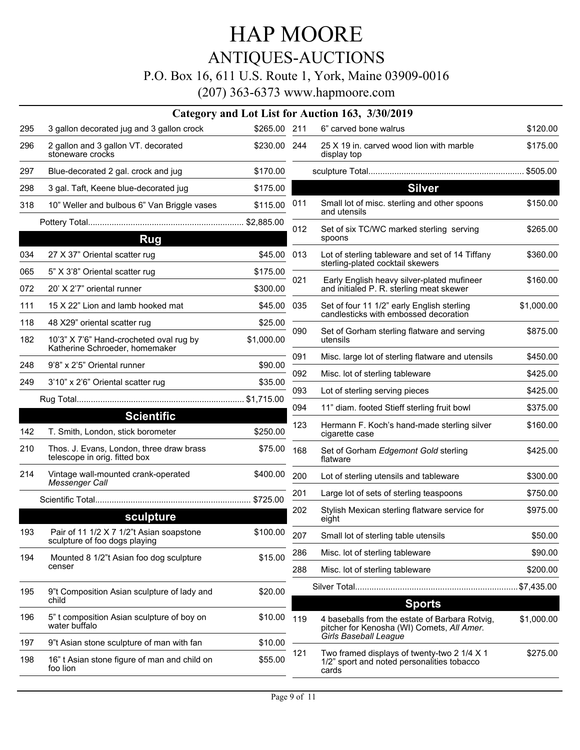## HAP MOORE ANTIQUES-AUCTIONS P.O. Box 16, 611 U.S. Route 1, York, Maine 03909-0016

|     |                                                                           |              |     | Category and Lot List for Auction 163, 3/30/2019                                                   |            |
|-----|---------------------------------------------------------------------------|--------------|-----|----------------------------------------------------------------------------------------------------|------------|
| 295 | 3 gallon decorated jug and 3 gallon crock                                 | \$265.00 211 |     | 6" carved bone walrus                                                                              | \$120.00   |
| 296 | 2 gallon and 3 gallon VT. decorated<br>stoneware crocks                   | \$230.00 244 |     | 25 X 19 in. carved wood lion with marble<br>display top                                            | \$175.00   |
| 297 | Blue-decorated 2 gal. crock and jug                                       | \$170.00     |     |                                                                                                    |            |
| 298 | 3 gal. Taft, Keene blue-decorated jug                                     | \$175.00     |     | <b>Silver</b>                                                                                      |            |
| 318 | 10" Weller and bulbous 6" Van Briggle vases                               | \$115.00     | 011 | Small lot of misc. sterling and other spoons<br>and utensils                                       | \$150.00   |
|     |                                                                           |              | 012 | Set of six TC/WC marked sterling serving                                                           | \$265.00   |
|     | <b>Rug</b>                                                                |              |     | spoons                                                                                             |            |
| 034 | 27 X 37" Oriental scatter rug                                             | \$45.00      | 013 | Lot of sterling tableware and set of 14 Tiffany                                                    | \$360.00   |
| 065 | 5" X 3'8" Oriental scatter rug                                            | \$175.00     |     | sterling-plated cocktail skewers                                                                   |            |
| 072 | 20' X 2'7" oriental runner                                                | \$300.00     | 021 | Early English heavy silver-plated mufineer<br>and initialed P. R. sterling meat skewer             | \$160.00   |
| 111 | 15 X 22" Lion and lamb hooked mat                                         | \$45.00      | 035 | Set of four 11 1/2" early English sterling<br>candlesticks with embossed decoration                | \$1,000.00 |
| 118 | 48 X29" oriental scatter rug                                              | \$25.00      |     |                                                                                                    |            |
| 182 | 10'3" X 7'6" Hand-crocheted oval rug by<br>Katherine Schroeder, homemaker | \$1,000.00   | 090 | Set of Gorham sterling flatware and serving<br>utensils                                            | \$875.00   |
| 248 | 9'8" x 2'5" Oriental runner                                               | \$90.00      | 091 | Misc. large lot of sterling flatware and utensils                                                  | \$450.00   |
| 249 | 3'10" x 2'6" Oriental scatter rug                                         | \$35.00      | 092 | Misc. lot of sterling tableware                                                                    | \$425.00   |
|     |                                                                           |              | 093 | Lot of sterling serving pieces                                                                     | \$425.00   |
|     |                                                                           |              | 094 | 11" diam. footed Stieff sterling fruit bowl                                                        | \$375.00   |
| 142 | <b>Scientific</b><br>T. Smith, London, stick borometer                    | \$250.00     | 123 | Hermann F. Koch's hand-made sterling silver<br>cigarette case                                      | \$160.00   |
| 210 | Thos. J. Evans, London, three draw brass<br>telescope in orig. fitted box | \$75.00      | 168 | Set of Gorham Edgemont Gold sterling<br>flatware                                                   | \$425.00   |
| 214 | Vintage wall-mounted crank-operated<br>Messenger Call                     | \$400.00     | 200 | Lot of sterling utensils and tableware                                                             | \$300.00   |
|     |                                                                           |              | 201 | Large lot of sets of sterling teaspoons                                                            | \$750.00   |
|     | sculpture                                                                 |              | 202 | Stylish Mexican sterling flatware service for<br>eight                                             | \$975.00   |
| 193 | Pair of 11 1/2 X 7 1/2"t Asian soapstone<br>sculpture of foo dogs playing | \$100.00     | 207 | Small lot of sterling table utensils                                                               | \$50.00    |
| 194 | Mounted 8 1/2"t Asian foo dog sculpture                                   | \$15.00      | 286 | Misc. lot of sterling tableware                                                                    | \$90.00    |
|     | censer                                                                    |              | 288 | Misc. lot of sterling tableware                                                                    | \$200.00   |
| 195 | 9"t Composition Asian sculpture of lady and<br>child                      | \$20.00      |     | <b>Sports</b>                                                                                      |            |
| 196 | 5" t composition Asian sculpture of boy on<br>water buffalo               | \$10.00      | 119 | 4 baseballs from the estate of Barbara Rotvig,<br>pitcher for Kenosha (WI) Comets, All Amer.       | \$1,000.00 |
| 197 | 9"t Asian stone sculpture of man with fan                                 | \$10.00      |     | <b>Girls Baseball League</b>                                                                       |            |
| 198 | 16" t Asian stone figure of man and child on<br>foo lion                  | \$55.00      | 121 | Two framed displays of twenty-two 2 1/4 X 1<br>1/2" sport and noted personalities tobacco<br>cards | \$275.00   |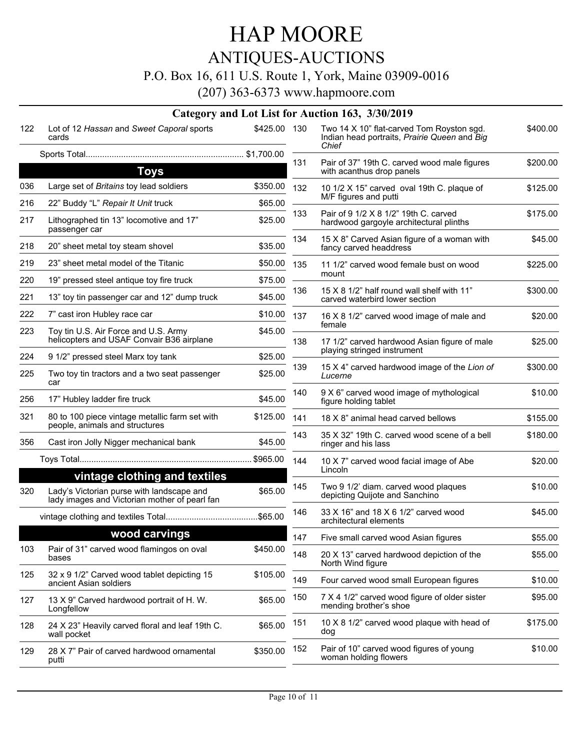## ANTIQUES-AUCTIONS

### P.O. Box 16, 611 U.S. Route 1, York, Maine 03909-0016

|     |                                                                                            |              |     | Category and Lot List for Auction 163, 3/30/2019                                                   |          |
|-----|--------------------------------------------------------------------------------------------|--------------|-----|----------------------------------------------------------------------------------------------------|----------|
| 122 | Lot of 12 Hassan and Sweet Caporal sports<br>cards                                         | \$425.00 130 |     | Two 14 X 10" flat-carved Tom Royston sgd.<br>Indian head portraits, Prairie Queen and Big<br>Chief | \$400.00 |
|     |                                                                                            |              | 131 | Pair of 37" 19th C. carved wood male figures                                                       | \$200.00 |
|     | <b>Toys</b>                                                                                |              |     | with acanthus drop panels                                                                          |          |
| 036 | Large set of Britains toy lead soldiers                                                    | \$350.00     | 132 | 10 1/2 X 15" carved oval 19th C. plaque of                                                         | \$125.00 |
| 216 | 22" Buddy "L" Repair It Unit truck                                                         | \$65.00      |     | M/F figures and putti                                                                              |          |
| 217 | Lithographed tin 13" locomotive and 17"<br>passenger car                                   | \$25.00      | 133 | Pair of 9 1/2 X 8 1/2" 19th C. carved<br>hardwood gargoyle architectural plinths                   | \$175.00 |
| 218 | 20" sheet metal toy steam shovel                                                           | \$35.00      | 134 | 15 X 8" Carved Asian figure of a woman with<br>fancy carved headdress                              | \$45.00  |
| 219 | 23" sheet metal model of the Titanic                                                       | \$50.00      | 135 | 11 1/2" carved wood female bust on wood                                                            | \$225.00 |
| 220 | 19" pressed steel antique toy fire truck                                                   | \$75.00      |     | mount                                                                                              |          |
| 221 | 13" toy tin passenger car and 12" dump truck                                               | \$45.00      | 136 | 15 X 8 1/2" half round wall shelf with 11"<br>carved waterbird lower section                       | \$300.00 |
| 222 | 7" cast iron Hubley race car                                                               | \$10.00      | 137 | 16 X 8 1/2" carved wood image of male and                                                          | \$20.00  |
| 223 | Toy tin U.S. Air Force and U.S. Army<br>helicopters and USAF Convair B36 airplane          | \$45.00      | 138 | female<br>17 1/2" carved hardwood Asian figure of male                                             | \$25.00  |
| 224 | 9 1/2" pressed steel Marx toy tank                                                         | \$25.00      |     | playing stringed instrument                                                                        |          |
| 225 | Two toy tin tractors and a two seat passenger<br>car                                       | \$25.00      | 139 | 15 X 4" carved hardwood image of the Lion of<br>Lucerne                                            | \$300.00 |
| 256 | 17" Hubley ladder fire truck                                                               | \$45.00      | 140 | 9 X 6" carved wood image of mythological<br>figure holding tablet                                  | \$10.00  |
| 321 | 80 to 100 piece vintage metallic farm set with<br>people, animals and structures           | \$125.00     | 141 | 18 X 8" animal head carved bellows                                                                 | \$155.00 |
| 356 | Cast iron Jolly Nigger mechanical bank                                                     | \$45.00      | 143 | 35 X 32" 19th C. carved wood scene of a bell<br>ringer and his lass                                | \$180.00 |
|     |                                                                                            |              | 144 | 10 X 7" carved wood facial image of Abe<br>Lincoln                                                 | \$20.00  |
|     | vintage clothing and textiles                                                              |              | 145 | Two 9 1/2' diam. carved wood plaques                                                               | \$10.00  |
| 320 | Lady's Victorian purse with landscape and<br>lady images and Victorian mother of pearl fan | \$65.00      |     | depicting Quijote and Sanchino                                                                     |          |
|     |                                                                                            |              | 146 | 33 X 16" and 18 X 6 1/2" carved wood<br>architectural elements                                     | \$45.00  |
|     | wood carvings                                                                              |              | 147 | Five small carved wood Asian figures                                                               | \$55.00  |
| 103 | Pair of 31" carved wood flamingos on oval<br>bases                                         | \$450.00     | 148 | 20 X 13" carved hardwood depiction of the<br>North Wind figure                                     | \$55.00  |
| 125 | 32 x 9 1/2" Carved wood tablet depicting 15<br>ancient Asian soldiers                      | \$105.00     | 149 | Four carved wood small European figures                                                            | \$10.00  |
| 127 | 13 X 9" Carved hardwood portrait of H. W.<br>Longfellow                                    | \$65.00      | 150 | 7 X 4 1/2" carved wood figure of older sister<br>mending brother's shoe                            | \$95.00  |
| 128 | 24 X 23" Heavily carved floral and leaf 19th C.<br>wall pocket                             | \$65.00      | 151 | 10 X 8 1/2" carved wood plaque with head of<br>dog                                                 | \$175.00 |
| 129 | 28 X 7" Pair of carved hardwood ornamental<br>putti                                        | \$350.00     | 152 | Pair of 10" carved wood figures of young<br>woman holding flowers                                  | \$10.00  |